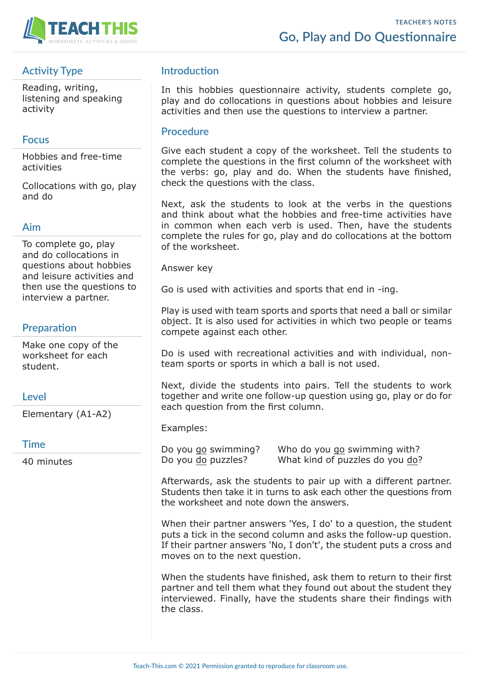

# **Activity Type**

Reading, writing, listening and speaking activity

## **Focus**

Hobbies and free-time activities

Collocations with go, play and do

### **Aim**

To complete go, play and do collocations in questions about hobbies and leisure activities and then use the questions to interview a partner.

## **Preparation**

Make one copy of the worksheet for each student.

### **Level**

Elementary (A1-A2)

#### **Time**

40 minutes

## **Introduction**

In this hobbies questionnaire activity, students complete go, play and do collocations in questions about hobbies and leisure activities and then use the questions to interview a partner.

### **Procedure**

Give each student a copy of the worksheet. Tell the students to complete the questions in the first column of the worksheet with the verbs: go, play and do. When the students have finished, check the questions with the class.

Next, ask the students to look at the verbs in the questions and think about what the hobbies and free-time activities have in common when each verb is used. Then, have the students complete the rules for go, play and do collocations at the bottom of the worksheet.

Answer key

Go is used with activities and sports that end in -ing.

Play is used with team sports and sports that need a ball or similar object. It is also used for activities in which two people or teams compete against each other.

Do is used with recreational activities and with individual, nonteam sports or sports in which a ball is not used.

Next, divide the students into pairs. Tell the students to work together and write one follow-up question using go, play or do for each question from the first column.

Examples:

Do you go swimming? Who do you go swimming with? Do you do puzzles? What kind of puzzles do you do?

Afterwards, ask the students to pair up with a different partner. Students then take it in turns to ask each other the questions from the worksheet and note down the answers.

When their partner answers 'Yes, I do' to a question, the student puts a tick in the second column and asks the follow-up question. If their partner answers 'No, I don't', the student puts a cross and moves on to the next question.

When the students have finished, ask them to return to their first partner and tell them what they found out about the student they interviewed. Finally, have the students share their findings with the class.